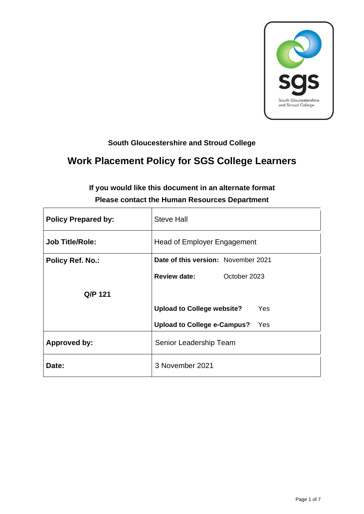

# **South Gloucestershire and Stroud College**

# **Work Placement Policy for SGS College Learners**

| <b>Policy Prepared by:</b> | <b>Steve Hall</b>                         |  |  |
|----------------------------|-------------------------------------------|--|--|
| <b>Job Title/Role:</b>     | <b>Head of Employer Engagement</b>        |  |  |
| <b>Policy Ref. No.:</b>    | Date of this version: November 2021       |  |  |
|                            | <b>Review date:</b><br>October 2023       |  |  |
| Q/P 121                    |                                           |  |  |
|                            | <b>Upload to College website?</b><br>Yes  |  |  |
|                            | <b>Upload to College e-Campus?</b><br>Yes |  |  |
| <b>Approved by:</b>        | Senior Leadership Team                    |  |  |
| Date:                      | 3 November 2021                           |  |  |

# **If you would like this document in an alternate format Please contact the Human Resources Department**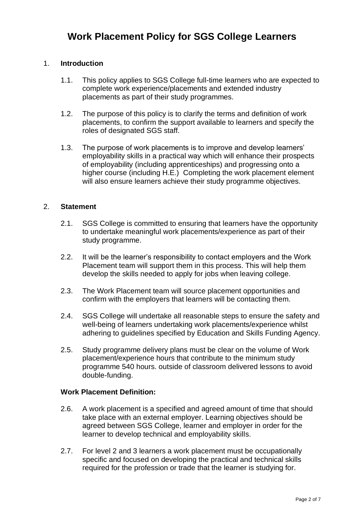### 1. **Introduction**

- 1.1. This policy applies to SGS College full-time learners who are expected to complete work experience/placements and extended industry placements as part of their study programmes.
- 1.2. The purpose of this policy is to clarify the terms and definition of work placements, to confirm the support available to learners and specify the roles of designated SGS staff.
- 1.3. The purpose of work placements is to improve and develop learners' employability skills in a practical way which will enhance their prospects of employability (including apprenticeships) and progressing onto a higher course (including H.E.) Completing the work placement element will also ensure learners achieve their study programme objectives.

#### 2. **Statement**

- 2.1. SGS College is committed to ensuring that learners have the opportunity to undertake meaningful work placements/experience as part of their study programme.
- 2.2. It will be the learner's responsibility to contact employers and the Work Placement team will support them in this process. This will help them develop the skills needed to apply for jobs when leaving college.
- 2.3. The Work Placement team will source placement opportunities and confirm with the employers that learners will be contacting them.
- 2.4. SGS College will undertake all reasonable steps to ensure the safety and well-being of learners undertaking work placements/experience whilst adhering to guidelines specified by Education and Skills Funding Agency.
- 2.5. Study programme delivery plans must be clear on the volume of Work placement/experience hours that contribute to the minimum study programme 540 hours. outside of classroom delivered lessons to avoid double-funding.

#### **Work Placement Definition:**

- 2.6. A work placement is a specified and agreed amount of time that should take place with an external employer. Learning objectives should be agreed between SGS College, learner and employer in order for the learner to develop technical and employability skills.
- 2.7. For level 2 and 3 learners a work placement must be occupationally specific and focused on developing the practical and technical skills required for the profession or trade that the learner is studying for.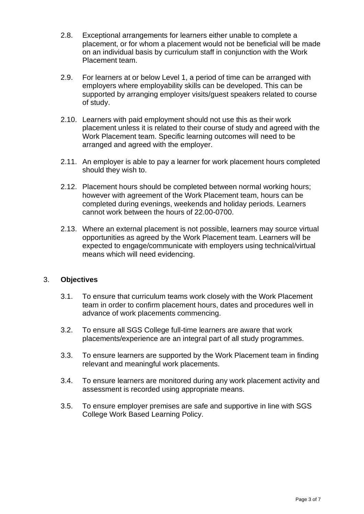- 2.8. Exceptional arrangements for learners either unable to complete a placement, or for whom a placement would not be beneficial will be made on an individual basis by curriculum staff in conjunction with the Work Placement team.
- 2.9. For learners at or below Level 1, a period of time can be arranged with employers where employability skills can be developed. This can be supported by arranging employer visits/guest speakers related to course of study.
- 2.10. Learners with paid employment should not use this as their work placement unless it is related to their course of study and agreed with the Work Placement team. Specific learning outcomes will need to be arranged and agreed with the employer.
- 2.11. An employer is able to pay a learner for work placement hours completed should they wish to.
- 2.12. Placement hours should be completed between normal working hours; however with agreement of the Work Placement team, hours can be completed during evenings, weekends and holiday periods. Learners cannot work between the hours of 22.00-0700.
- 2.13. Where an external placement is not possible, learners may source virtual opportunities as agreed by the Work Placement team. Learners will be expected to engage/communicate with employers using technical/virtual means which will need evidencing.

#### 3. **Objectives**

- 3.1. To ensure that curriculum teams work closely with the Work Placement team in order to confirm placement hours, dates and procedures well in advance of work placements commencing.
- 3.2. To ensure all SGS College full-time learners are aware that work placements/experience are an integral part of all study programmes.
- 3.3. To ensure learners are supported by the Work Placement team in finding relevant and meaningful work placements.
- 3.4. To ensure learners are monitored during any work placement activity and assessment is recorded using appropriate means.
- 3.5. To ensure employer premises are safe and supportive in line with SGS College Work Based Learning Policy.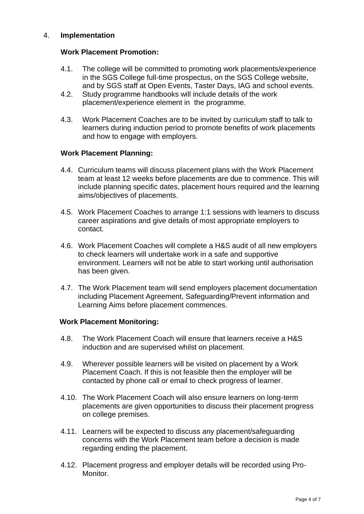#### 4. **Implementation**

#### **Work Placement Promotion:**

- 4.1. The college will be committed to promoting work placements/experience in the SGS College full-time prospectus, on the SGS College website, and by SGS staff at Open Events, Taster Days, IAG and school events.
- 4.2. Study programme handbooks will include details of the work placement/experience element in the programme.
- 4.3. Work Placement Coaches are to be invited by curriculum staff to talk to learners during induction period to promote benefits of work placements and how to engage with employers.

#### **Work Placement Planning:**

- 4.4. Curriculum teams will discuss placement plans with the Work Placement team at least 12 weeks before placements are due to commence. This will include planning specific dates, placement hours required and the learning aims/objectives of placements.
- 4.5. Work Placement Coaches to arrange 1:1 sessions with learners to discuss career aspirations and give details of most appropriate employers to contact.
- 4.6. Work Placement Coaches will complete a H&S audit of all new employers to check learners will undertake work in a safe and supportive environment. Learners will not be able to start working until authorisation has been given.
- 4.7. The Work Placement team will send employers placement documentation including Placement Agreement, Safeguarding/Prevent information and Learning Aims before placement commences.

#### **Work Placement Monitoring:**

- 4.8. The Work Placement Coach will ensure that learners receive a H&S induction and are supervised whilst on placement.
- 4.9. Wherever possible learners will be visited on placement by a Work Placement Coach. If this is not feasible then the employer will be contacted by phone call or email to check progress of learner.
- 4.10. The Work Placement Coach will also ensure learners on long-term placements are given opportunities to discuss their placement progress on college premises.
- 4.11. Learners will be expected to discuss any placement/safeguarding concerns with the Work Placement team before a decision is made regarding ending the placement.
- 4.12. Placement progress and employer details will be recorded using Pro-Monitor.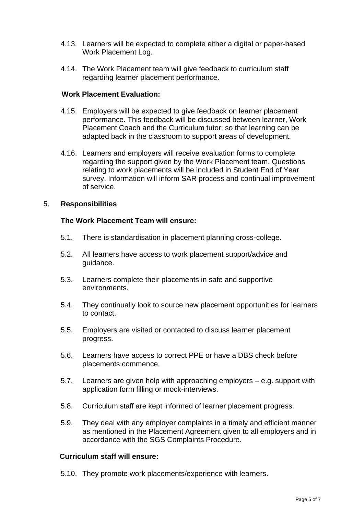- 4.13. Learners will be expected to complete either a digital or paper-based Work Placement Log.
- 4.14. The Work Placement team will give feedback to curriculum staff regarding learner placement performance.

#### **Work Placement Evaluation:**

- 4.15. Employers will be expected to give feedback on learner placement performance. This feedback will be discussed between learner, Work Placement Coach and the Curriculum tutor; so that learning can be adapted back in the classroom to support areas of development.
- 4.16. Learners and employers will receive evaluation forms to complete regarding the support given by the Work Placement team. Questions relating to work placements will be included in Student End of Year survey. Information will inform SAR process and continual improvement of service.

#### 5. **Responsibilities**

#### **The Work Placement Team will ensure:**

- 5.1. There is standardisation in placement planning cross-college.
- 5.2. All learners have access to work placement support/advice and guidance.
- 5.3. Learners complete their placements in safe and supportive environments.
- 5.4. They continually look to source new placement opportunities for learners to contact.
- 5.5. Employers are visited or contacted to discuss learner placement progress.
- 5.6. Learners have access to correct PPE or have a DBS check before placements commence.
- 5.7. Learners are given help with approaching employers e.g. support with application form filling or mock-interviews.
- 5.8. Curriculum staff are kept informed of learner placement progress.
- 5.9. They deal with any employer complaints in a timely and efficient manner as mentioned in the Placement Agreement given to all employers and in accordance with the SGS Complaints Procedure.

#### **Curriculum staff will ensure:**

5.10. They promote work placements/experience with learners.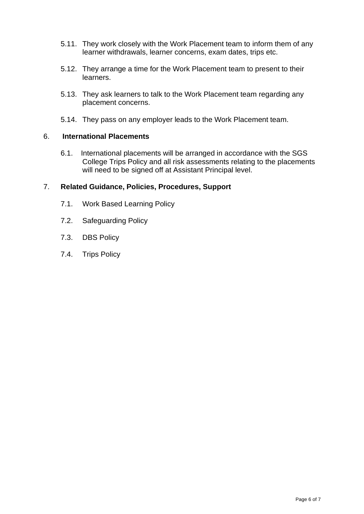- 5.11. They work closely with the Work Placement team to inform them of any learner withdrawals, learner concerns, exam dates, trips etc.
- 5.12. They arrange a time for the Work Placement team to present to their learners.
- 5.13. They ask learners to talk to the Work Placement team regarding any placement concerns.
- 5.14. They pass on any employer leads to the Work Placement team.

#### 6. **International Placements**

6.1. International placements will be arranged in accordance with the SGS College Trips Policy and all risk assessments relating to the placements will need to be signed off at Assistant Principal level.

#### 7. **Related Guidance, Policies, Procedures, Support**

- 7.1. Work Based Learning Policy
- 7.2. Safeguarding Policy
- 7.3. DBS Policy
- 7.4. Trips Policy